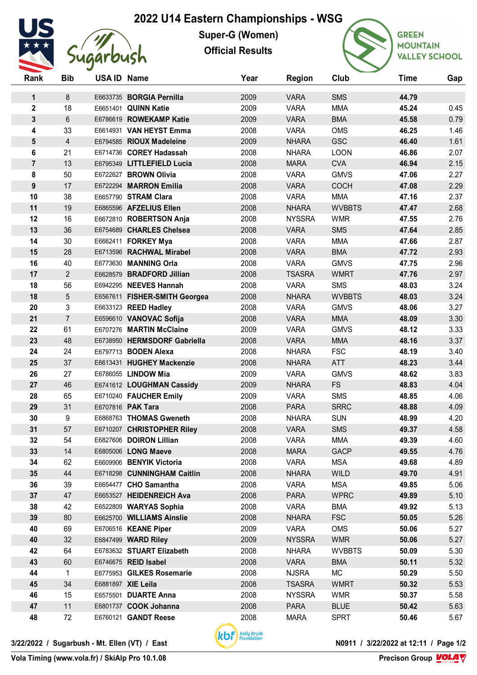## **2022 U14 Eastern Championships - WSG**



**Super-G (Women) Official Results**



**GREEN MOUNTAIN VALLEY SCHOOL** 

| Rank                    | <b>Bib</b>      | USA ID Name |                               | Year | <b>Region</b> | Club          | Time  | Gap  |
|-------------------------|-----------------|-------------|-------------------------------|------|---------------|---------------|-------|------|
| 1                       | 8               |             | E6633735 BORGIA Pernilla      | 2009 | <b>VARA</b>   | <b>SMS</b>    | 44.79 |      |
| $\overline{\mathbf{c}}$ | 18              |             | E6651401 QUINN Katie          | 2009 | <b>VARA</b>   | <b>MMA</b>    | 45.24 | 0.45 |
| 3                       | $6\phantom{1}6$ |             | E6786619 ROWEKAMP Katie       | 2009 | <b>VARA</b>   | <b>BMA</b>    | 45.58 | 0.79 |
| 4                       | 33              |             | E6614931 VAN HEYST Emma       | 2008 | <b>VARA</b>   | <b>OMS</b>    | 46.25 | 1.46 |
| 5                       | $\overline{4}$  |             | E6794585 RIOUX Madeleine      | 2009 | <b>NHARA</b>  | <b>GSC</b>    | 46.40 | 1.61 |
| 6                       | 21              |             | E6714736 COREY Hadassah       | 2008 | <b>NHARA</b>  | <b>LOON</b>   | 46.86 | 2.07 |
| 7                       | 13              |             | E6795349 LITTLEFIELD Lucia    | 2008 | <b>MARA</b>   | <b>CVA</b>    | 46.94 | 2.15 |
| 8                       | 50              |             | E6722627 BROWN Olivia         | 2008 | <b>VARA</b>   | <b>GMVS</b>   | 47.06 | 2.27 |
| 9                       | 17              |             | E6722294 MARRON Emilia        | 2008 | <b>VARA</b>   | <b>COCH</b>   | 47.08 | 2.29 |
| 10                      | 38              |             | E6657790 STRAM Clara          | 2008 | <b>VARA</b>   | <b>MMA</b>    | 47.16 | 2.37 |
| 11                      | 19              |             | E6865596 AFZELIUS Ellen       | 2008 | <b>NHARA</b>  | <b>WVBBTS</b> | 47.47 | 2.68 |
| 12                      | 16              |             | E6672810 ROBERTSON Anja       | 2008 | <b>NYSSRA</b> | <b>WMR</b>    | 47.55 | 2.76 |
| 13                      | 36              |             | E6754689 CHARLES Chelsea      | 2008 | <b>VARA</b>   | <b>SMS</b>    | 47.64 | 2.85 |
| 14                      | 30              |             | E6662411 FORKEY Mya           | 2008 | <b>VARA</b>   | <b>MMA</b>    | 47.66 | 2.87 |
| 15                      | 28              |             | E6713596 RACHWAL Mirabel      | 2008 | <b>VARA</b>   | <b>BMA</b>    | 47.72 | 2.93 |
| 16                      | 40              |             | E6773630 MANNING Orla         | 2008 | <b>VARA</b>   | <b>GMVS</b>   | 47.75 | 2.96 |
| 17                      | 2               |             | E6628579 BRADFORD Jillian     | 2008 | <b>TSASRA</b> | <b>WMRT</b>   | 47.76 | 2.97 |
| 18                      | 56              |             | E6942295 NEEVES Hannah        | 2008 | <b>VARA</b>   | <b>SMS</b>    | 48.03 | 3.24 |
| 18                      | 5               |             | E6567611 FISHER-SMITH Georgea | 2008 | <b>NHARA</b>  | <b>WVBBTS</b> | 48.03 | 3.24 |
| 20                      | 3               |             | E6633123 REED Hadley          | 2008 | <b>VARA</b>   | <b>GMVS</b>   | 48.06 | 3.27 |
| 21                      | $\overline{7}$  |             | E6596610 VANOVAC Sofija       | 2008 | <b>VARA</b>   | <b>MMA</b>    | 48.09 | 3.30 |
| 22                      | 61              |             | E6707276 MARTIN McClaine      | 2009 | <b>VARA</b>   | <b>GMVS</b>   | 48.12 | 3.33 |
| 23                      | 48              |             | E6738950 HERMSDORF Gabriella  | 2008 | <b>VARA</b>   | <b>MMA</b>    | 48.16 | 3.37 |
| 24                      | 24              |             | E6797713 BODEN Alexa          | 2008 | <b>NHARA</b>  | <b>FSC</b>    | 48.19 | 3.40 |
| 25                      | 37              |             | E6613431 HUGHEY Mackenzie     | 2008 | <b>NHARA</b>  | <b>ATT</b>    | 48.23 | 3.44 |
| 26                      | 27              |             | E6786055 LINDOW Mia           | 2009 | <b>VARA</b>   | <b>GMVS</b>   | 48.62 | 3.83 |
| 27                      | 46              |             | E6741612 LOUGHMAN Cassidy     | 2009 | <b>NHARA</b>  | <b>FS</b>     | 48.83 | 4.04 |
| 28                      | 65              |             | E6710240 FAUCHER Emily        | 2009 | <b>VARA</b>   | <b>SMS</b>    | 48.85 | 4.06 |
| 29                      | 31              |             | E6707816 PAK Tara             | 2008 | <b>PARA</b>   | <b>SRRC</b>   | 48.88 | 4.09 |
| 30                      | 9               |             | E6868763 THOMAS Gweneth       | 2008 | <b>NHARA</b>  | <b>SUN</b>    | 48.99 | 4.20 |
| 31                      | 57              |             | E6710207 CHRISTOPHER Riley    | 2008 | <b>VARA</b>   | <b>SMS</b>    | 49.37 | 4.58 |
| 32                      | 54              |             | E6827606 DOIRON Lillian       | 2008 | <b>VARA</b>   | <b>MMA</b>    | 49.39 | 4.60 |
| 33                      | 14              |             | E6805006 LONG Maeve           | 2008 | <b>MARA</b>   | <b>GACP</b>   | 49.55 | 4.76 |
| 34                      | 62              |             | E6609906 BENYIK Victoria      | 2008 | <b>VARA</b>   | <b>MSA</b>    | 49.68 | 4.89 |
| 35                      | 44              |             | E6718298 CUNNINGHAM Caitlin   | 2008 | <b>NHARA</b>  | <b>WILD</b>   | 49.70 | 4.91 |
| 36                      | 39              |             | E6654477 CHO Samantha         | 2008 | <b>VARA</b>   | <b>MSA</b>    | 49.85 | 5.06 |
| 37                      | 47              |             | E6653527 HEIDENREICH Ava      | 2008 | <b>PARA</b>   | <b>WPRC</b>   | 49.89 | 5.10 |
| 38                      | 42              |             | E6522809 WARYAS Sophia        | 2008 | <b>VARA</b>   | <b>BMA</b>    | 49.92 | 5.13 |
| 39                      | 80              |             | E6625700 WILLIAMS Ainslie     | 2008 | <b>NHARA</b>  | <b>FSC</b>    | 50.05 | 5.26 |
| 40                      | 69              |             | E6706516 KEANE Piper          | 2009 | <b>VARA</b>   | <b>OMS</b>    | 50.06 | 5.27 |
| 40                      | 32              |             | E6847499 WARD Riley           | 2009 | <b>NYSSRA</b> | <b>WMR</b>    | 50.06 | 5.27 |
| 42                      | 64              |             | E6783632 STUART Elizabeth     | 2008 | <b>NHARA</b>  | <b>WVBBTS</b> | 50.09 | 5.30 |
| 43                      | 60              |             | E6746675 REID Isabel          | 2008 | <b>VARA</b>   | <b>BMA</b>    | 50.11 | 5.32 |
| 44                      | 1               |             | E6775953 GILKES Rosemarie     | 2008 | <b>NJSRA</b>  | MC            | 50.29 | 5.50 |
| 45                      | 34              |             | E6881897 XIE Leila            | 2008 | <b>TSASRA</b> | <b>WMRT</b>   | 50.32 | 5.53 |
| 46                      | 15              |             | E6575501 DUARTE Anna          | 2008 | <b>NYSSRA</b> | <b>WMR</b>    | 50.37 | 5.58 |
| 47                      | 11              |             | E6801737 COOK Johanna         | 2008 | <b>PARA</b>   | <b>BLUE</b>   | 50.42 | 5.63 |
| 48                      | 72              |             | E6760121 GANDT Reese          | 2008 | <b>MARA</b>   | <b>SPRT</b>   | 50.46 | 5.67 |
|                         |                 |             |                               |      |               |               |       |      |